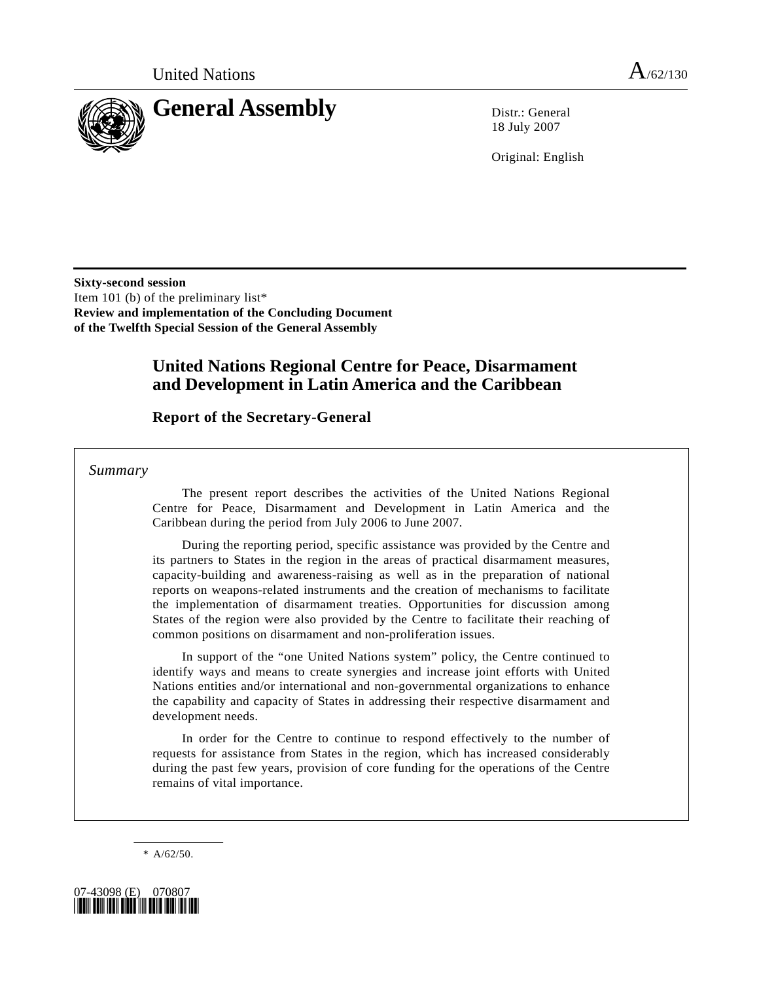

18 July 2007

Original: English

**Sixty-second session**  Item 101 (b) of the preliminary list\* **Review and implementation of the Concluding Document of the Twelfth Special Session of the General Assembly** 

# **United Nations Regional Centre for Peace, Disarmament and Development in Latin America and the Caribbean**

## **Report of the Secretary-General**

 *Summary* 

 The present report describes the activities of the United Nations Regional Centre for Peace, Disarmament and Development in Latin America and the Caribbean during the period from July 2006 to June 2007.

 During the reporting period, specific assistance was provided by the Centre and its partners to States in the region in the areas of practical disarmament measures, capacity-building and awareness-raising as well as in the preparation of national reports on weapons-related instruments and the creation of mechanisms to facilitate the implementation of disarmament treaties. Opportunities for discussion among States of the region were also provided by the Centre to facilitate their reaching of common positions on disarmament and non-proliferation issues.

 In support of the "one United Nations system" policy, the Centre continued to identify ways and means to create synergies and increase joint efforts with United Nations entities and/or international and non-governmental organizations to enhance the capability and capacity of States in addressing their respective disarmament and development needs.

 In order for the Centre to continue to respond effectively to the number of requests for assistance from States in the region, which has increased considerably during the past few years, provision of core funding for the operations of the Centre remains of vital importance.

\* A/62/50.

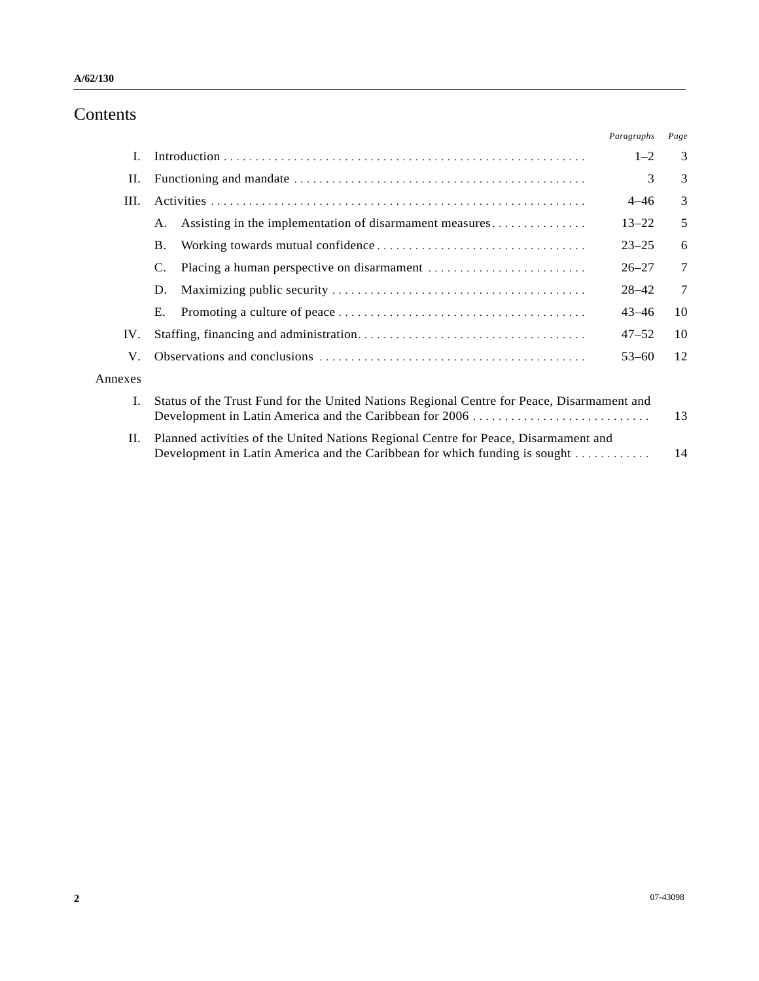# Contents

|                                                                                            |                                                                                                                                                                   | Paragraphs | Page   |
|--------------------------------------------------------------------------------------------|-------------------------------------------------------------------------------------------------------------------------------------------------------------------|------------|--------|
|                                                                                            |                                                                                                                                                                   | $1 - 2$    | 3      |
|                                                                                            |                                                                                                                                                                   | 3          | 3      |
|                                                                                            |                                                                                                                                                                   | $4 - 46$   | 3      |
| Α.                                                                                         | Assisting in the implementation of disarmament measures                                                                                                           | $13 - 22$  | 5      |
| <b>B.</b>                                                                                  |                                                                                                                                                                   | $23 - 25$  | 6      |
| C.                                                                                         |                                                                                                                                                                   | $26 - 27$  | 7      |
| D.                                                                                         |                                                                                                                                                                   | $28 - 42$  | $\tau$ |
| Е.                                                                                         |                                                                                                                                                                   | $43 - 46$  | 10     |
|                                                                                            |                                                                                                                                                                   | $47 - 52$  | 10     |
|                                                                                            |                                                                                                                                                                   | $53 - 60$  | 12     |
|                                                                                            |                                                                                                                                                                   |            |        |
| Status of the Trust Fund for the United Nations Regional Centre for Peace, Disarmament and |                                                                                                                                                                   | 13         |        |
|                                                                                            | Planned activities of the United Nations Regional Centre for Peace, Disarmament and<br>Development in Latin America and the Caribbean for which funding is sought |            | 14     |
|                                                                                            |                                                                                                                                                                   |            |        |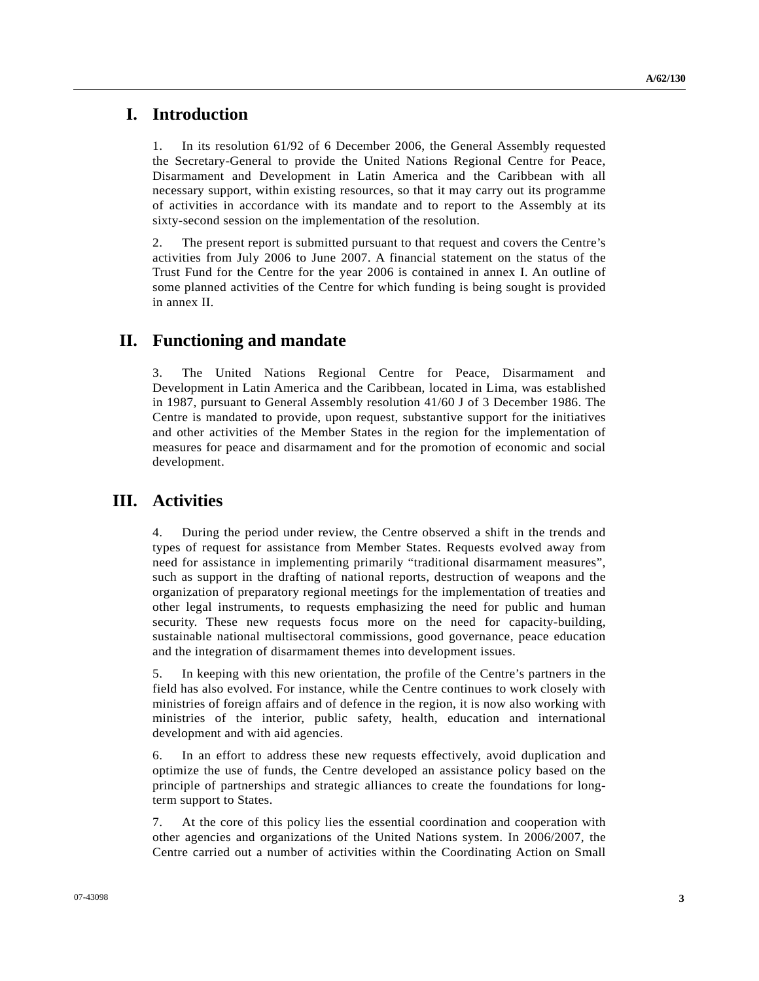## **I. Introduction**

1. In its resolution 61/92 of 6 December 2006, the General Assembly requested the Secretary-General to provide the United Nations Regional Centre for Peace, Disarmament and Development in Latin America and the Caribbean with all necessary support, within existing resources, so that it may carry out its programme of activities in accordance with its mandate and to report to the Assembly at its sixty-second session on the implementation of the resolution.

2. The present report is submitted pursuant to that request and covers the Centre's activities from July 2006 to June 2007. A financial statement on the status of the Trust Fund for the Centre for the year 2006 is contained in annex I. An outline of some planned activities of the Centre for which funding is being sought is provided in annex II.

## **II. Functioning and mandate**

3. The United Nations Regional Centre for Peace, Disarmament and Development in Latin America and the Caribbean, located in Lima, was established in 1987, pursuant to General Assembly resolution 41/60 J of 3 December 1986. The Centre is mandated to provide, upon request, substantive support for the initiatives and other activities of the Member States in the region for the implementation of measures for peace and disarmament and for the promotion of economic and social development.

## **III. Activities**

4. During the period under review, the Centre observed a shift in the trends and types of request for assistance from Member States. Requests evolved away from need for assistance in implementing primarily "traditional disarmament measures", such as support in the drafting of national reports, destruction of weapons and the organization of preparatory regional meetings for the implementation of treaties and other legal instruments, to requests emphasizing the need for public and human security. These new requests focus more on the need for capacity-building, sustainable national multisectoral commissions, good governance, peace education and the integration of disarmament themes into development issues.

5. In keeping with this new orientation, the profile of the Centre's partners in the field has also evolved. For instance, while the Centre continues to work closely with ministries of foreign affairs and of defence in the region, it is now also working with ministries of the interior, public safety, health, education and international development and with aid agencies.

6. In an effort to address these new requests effectively, avoid duplication and optimize the use of funds, the Centre developed an assistance policy based on the principle of partnerships and strategic alliances to create the foundations for longterm support to States.

7. At the core of this policy lies the essential coordination and cooperation with other agencies and organizations of the United Nations system. In 2006/2007, the Centre carried out a number of activities within the Coordinating Action on Small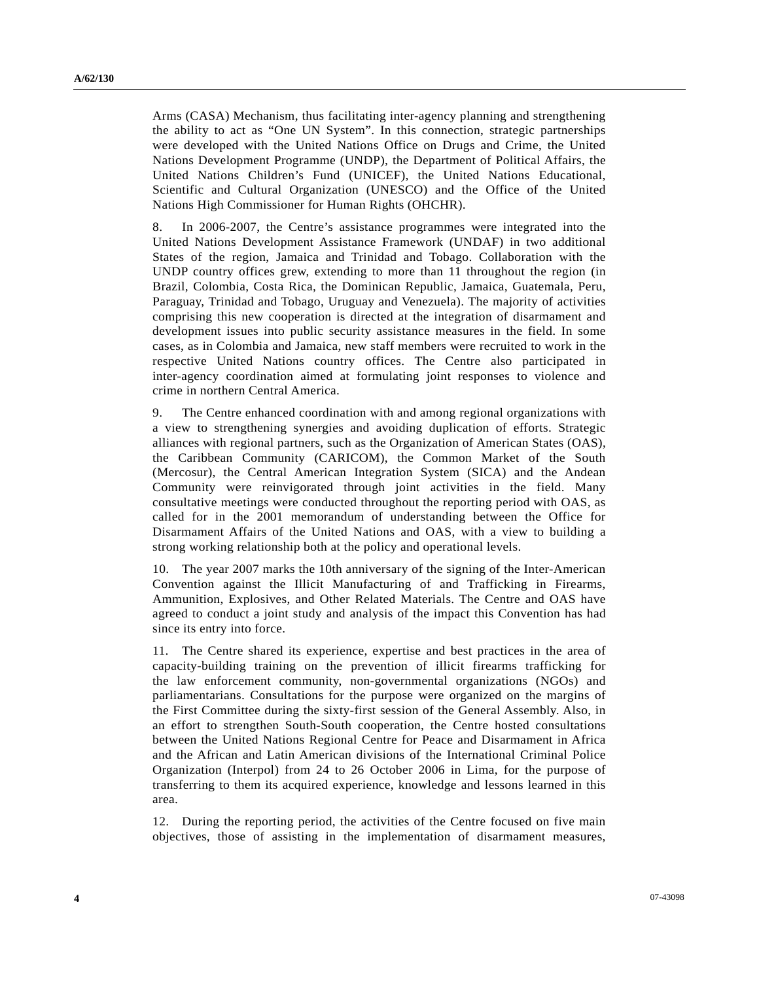Arms (CASA) Mechanism, thus facilitating inter-agency planning and strengthening the ability to act as "One UN System". In this connection, strategic partnerships were developed with the United Nations Office on Drugs and Crime, the United Nations Development Programme (UNDP), the Department of Political Affairs, the United Nations Children's Fund (UNICEF), the United Nations Educational, Scientific and Cultural Organization (UNESCO) and the Office of the United Nations High Commissioner for Human Rights (OHCHR).

8. In 2006-2007, the Centre's assistance programmes were integrated into the United Nations Development Assistance Framework (UNDAF) in two additional States of the region, Jamaica and Trinidad and Tobago. Collaboration with the UNDP country offices grew, extending to more than 11 throughout the region (in Brazil, Colombia, Costa Rica, the Dominican Republic, Jamaica, Guatemala, Peru, Paraguay, Trinidad and Tobago, Uruguay and Venezuela). The majority of activities comprising this new cooperation is directed at the integration of disarmament and development issues into public security assistance measures in the field. In some cases, as in Colombia and Jamaica, new staff members were recruited to work in the respective United Nations country offices. The Centre also participated in inter-agency coordination aimed at formulating joint responses to violence and crime in northern Central America.

9. The Centre enhanced coordination with and among regional organizations with a view to strengthening synergies and avoiding duplication of efforts. Strategic alliances with regional partners, such as the Organization of American States (OAS), the Caribbean Community (CARICOM), the Common Market of the South (Mercosur), the Central American Integration System (SICA) and the Andean Community were reinvigorated through joint activities in the field. Many consultative meetings were conducted throughout the reporting period with OAS, as called for in the 2001 memorandum of understanding between the Office for Disarmament Affairs of the United Nations and OAS, with a view to building a strong working relationship both at the policy and operational levels.

10. The year 2007 marks the 10th anniversary of the signing of the Inter-American Convention against the Illicit Manufacturing of and Trafficking in Firearms, Ammunition, Explosives, and Other Related Materials. The Centre and OAS have agreed to conduct a joint study and analysis of the impact this Convention has had since its entry into force.

11. The Centre shared its experience, expertise and best practices in the area of capacity-building training on the prevention of illicit firearms trafficking for the law enforcement community, non-governmental organizations (NGOs) and parliamentarians. Consultations for the purpose were organized on the margins of the First Committee during the sixty-first session of the General Assembly. Also, in an effort to strengthen South-South cooperation, the Centre hosted consultations between the United Nations Regional Centre for Peace and Disarmament in Africa and the African and Latin American divisions of the International Criminal Police Organization (Interpol) from 24 to 26 October 2006 in Lima, for the purpose of transferring to them its acquired experience, knowledge and lessons learned in this area.

12. During the reporting period, the activities of the Centre focused on five main objectives, those of assisting in the implementation of disarmament measures,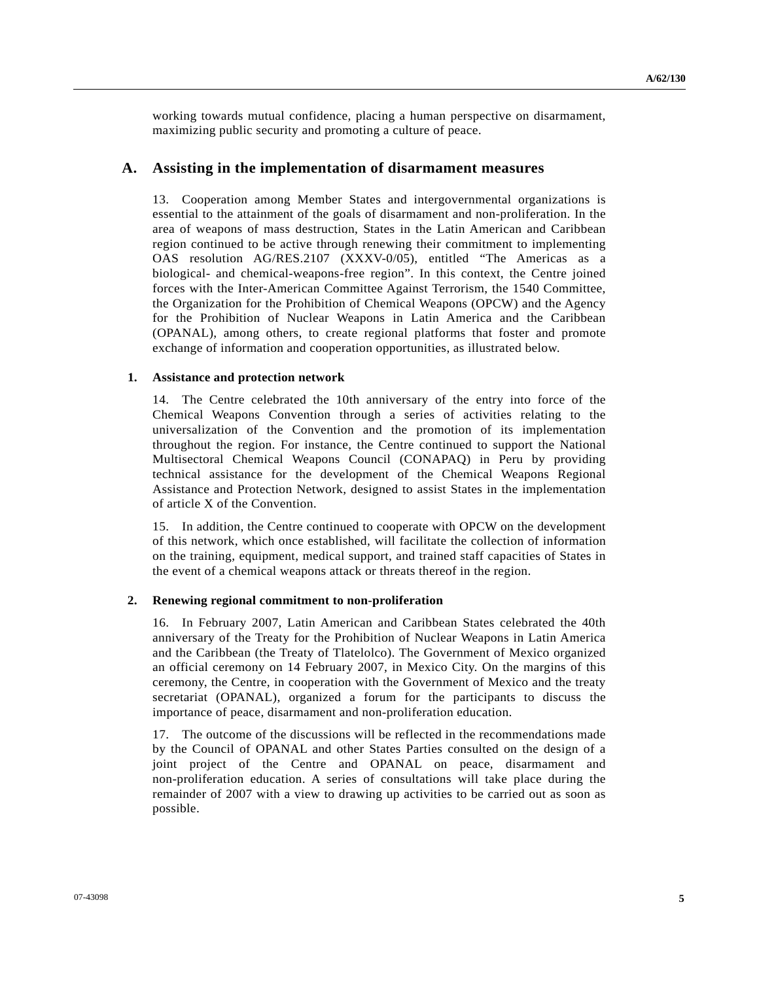working towards mutual confidence, placing a human perspective on disarmament, maximizing public security and promoting a culture of peace.

### **A. Assisting in the implementation of disarmament measures**

13. Cooperation among Member States and intergovernmental organizations is essential to the attainment of the goals of disarmament and non-proliferation. In the area of weapons of mass destruction, States in the Latin American and Caribbean region continued to be active through renewing their commitment to implementing OAS resolution AG/RES.2107 (XXXV-0/05), entitled "The Americas as a biological- and chemical-weapons-free region". In this context, the Centre joined forces with the Inter-American Committee Against Terrorism, the 1540 Committee, the Organization for the Prohibition of Chemical Weapons (OPCW) and the Agency for the Prohibition of Nuclear Weapons in Latin America and the Caribbean (OPANAL), among others, to create regional platforms that foster and promote exchange of information and cooperation opportunities, as illustrated below.

#### **1. Assistance and protection network**

14. The Centre celebrated the 10th anniversary of the entry into force of the Chemical Weapons Convention through a series of activities relating to the universalization of the Convention and the promotion of its implementation throughout the region. For instance, the Centre continued to support the National Multisectoral Chemical Weapons Council (CONAPAQ) in Peru by providing technical assistance for the development of the Chemical Weapons Regional Assistance and Protection Network, designed to assist States in the implementation of article X of the Convention.

15. In addition, the Centre continued to cooperate with OPCW on the development of this network, which once established, will facilitate the collection of information on the training, equipment, medical support, and trained staff capacities of States in the event of a chemical weapons attack or threats thereof in the region.

#### **2. Renewing regional commitment to non-proliferation**

16. In February 2007, Latin American and Caribbean States celebrated the 40th anniversary of the Treaty for the Prohibition of Nuclear Weapons in Latin America and the Caribbean (the Treaty of Tlatelolco). The Government of Mexico organized an official ceremony on 14 February 2007, in Mexico City. On the margins of this ceremony, the Centre, in cooperation with the Government of Mexico and the treaty secretariat (OPANAL), organized a forum for the participants to discuss the importance of peace, disarmament and non-proliferation education.

17. The outcome of the discussions will be reflected in the recommendations made by the Council of OPANAL and other States Parties consulted on the design of a joint project of the Centre and OPANAL on peace, disarmament and non-proliferation education. A series of consultations will take place during the remainder of 2007 with a view to drawing up activities to be carried out as soon as possible.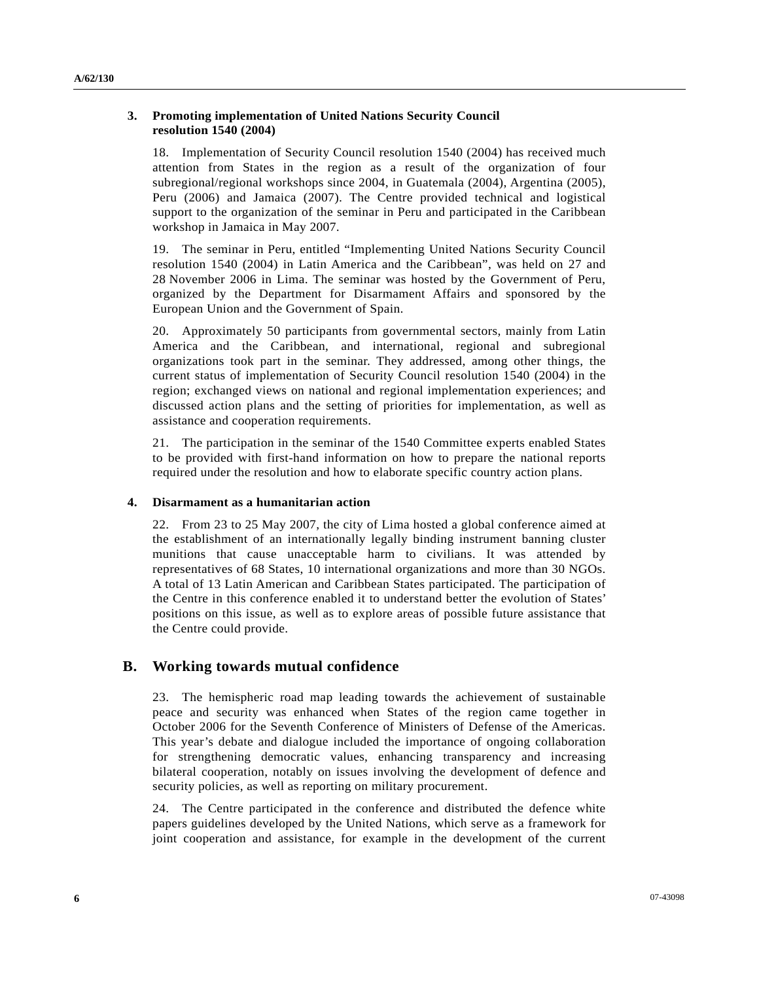### **3. Promoting implementation of United Nations Security Council resolution 1540 (2004)**

18. Implementation of Security Council resolution 1540 (2004) has received much attention from States in the region as a result of the organization of four subregional/regional workshops since 2004, in Guatemala (2004), Argentina (2005), Peru (2006) and Jamaica (2007). The Centre provided technical and logistical support to the organization of the seminar in Peru and participated in the Caribbean workshop in Jamaica in May 2007.

19. The seminar in Peru, entitled "Implementing United Nations Security Council resolution 1540 (2004) in Latin America and the Caribbean", was held on 27 and 28 November 2006 in Lima. The seminar was hosted by the Government of Peru, organized by the Department for Disarmament Affairs and sponsored by the European Union and the Government of Spain.

20. Approximately 50 participants from governmental sectors, mainly from Latin America and the Caribbean, and international, regional and subregional organizations took part in the seminar. They addressed, among other things, the current status of implementation of Security Council resolution 1540 (2004) in the region; exchanged views on national and regional implementation experiences; and discussed action plans and the setting of priorities for implementation, as well as assistance and cooperation requirements.

21. The participation in the seminar of the 1540 Committee experts enabled States to be provided with first-hand information on how to prepare the national reports required under the resolution and how to elaborate specific country action plans.

### **4. Disarmament as a humanitarian action**

22. From 23 to 25 May 2007, the city of Lima hosted a global conference aimed at the establishment of an internationally legally binding instrument banning cluster munitions that cause unacceptable harm to civilians. It was attended by representatives of 68 States, 10 international organizations and more than 30 NGOs. A total of 13 Latin American and Caribbean States participated. The participation of the Centre in this conference enabled it to understand better the evolution of States' positions on this issue, as well as to explore areas of possible future assistance that the Centre could provide.

## **B. Working towards mutual confidence**

23. The hemispheric road map leading towards the achievement of sustainable peace and security was enhanced when States of the region came together in October 2006 for the Seventh Conference of Ministers of Defense of the Americas. This year's debate and dialogue included the importance of ongoing collaboration for strengthening democratic values, enhancing transparency and increasing bilateral cooperation, notably on issues involving the development of defence and security policies, as well as reporting on military procurement.

24. The Centre participated in the conference and distributed the defence white papers guidelines developed by the United Nations, which serve as a framework for joint cooperation and assistance, for example in the development of the current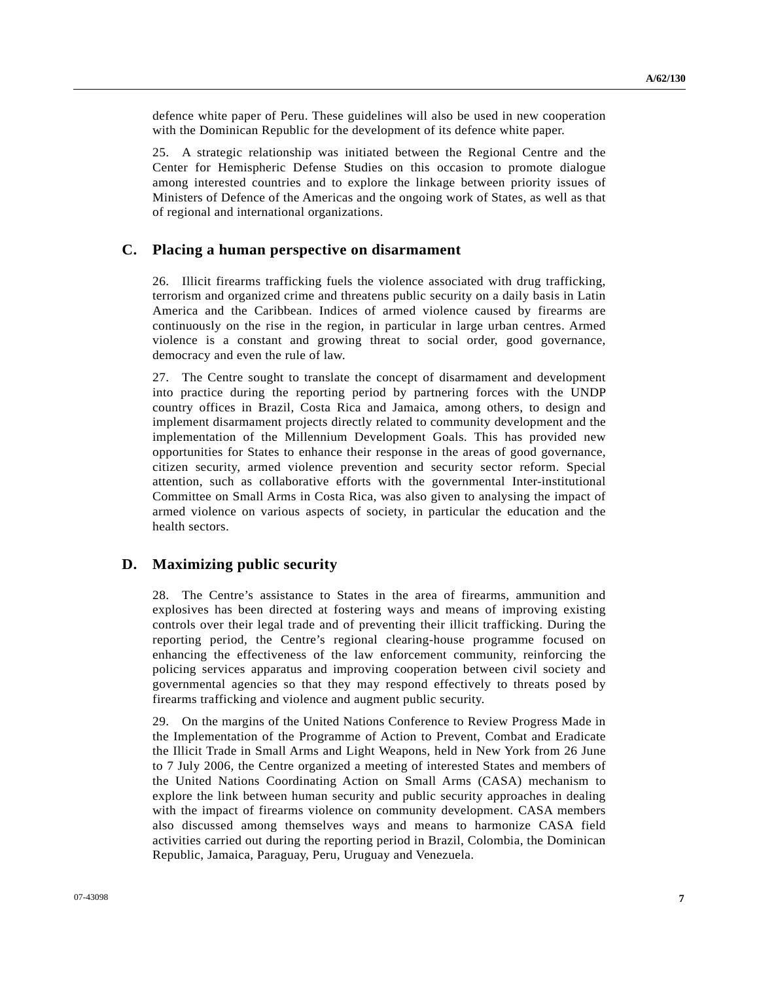defence white paper of Peru. These guidelines will also be used in new cooperation with the Dominican Republic for the development of its defence white paper.

25. A strategic relationship was initiated between the Regional Centre and the Center for Hemispheric Defense Studies on this occasion to promote dialogue among interested countries and to explore the linkage between priority issues of Ministers of Defence of the Americas and the ongoing work of States, as well as that of regional and international organizations.

### **C. Placing a human perspective on disarmament**

26. Illicit firearms trafficking fuels the violence associated with drug trafficking, terrorism and organized crime and threatens public security on a daily basis in Latin America and the Caribbean. Indices of armed violence caused by firearms are continuously on the rise in the region, in particular in large urban centres. Armed violence is a constant and growing threat to social order, good governance, democracy and even the rule of law.

27. The Centre sought to translate the concept of disarmament and development into practice during the reporting period by partnering forces with the UNDP country offices in Brazil, Costa Rica and Jamaica, among others, to design and implement disarmament projects directly related to community development and the implementation of the Millennium Development Goals. This has provided new opportunities for States to enhance their response in the areas of good governance, citizen security, armed violence prevention and security sector reform. Special attention, such as collaborative efforts with the governmental Inter-institutional Committee on Small Arms in Costa Rica, was also given to analysing the impact of armed violence on various aspects of society, in particular the education and the health sectors.

## **D. Maximizing public security**

28. The Centre's assistance to States in the area of firearms, ammunition and explosives has been directed at fostering ways and means of improving existing controls over their legal trade and of preventing their illicit trafficking. During the reporting period, the Centre's regional clearing-house programme focused on enhancing the effectiveness of the law enforcement community, reinforcing the policing services apparatus and improving cooperation between civil society and governmental agencies so that they may respond effectively to threats posed by firearms trafficking and violence and augment public security.

29. On the margins of the United Nations Conference to Review Progress Made in the Implementation of the Programme of Action to Prevent, Combat and Eradicate the Illicit Trade in Small Arms and Light Weapons, held in New York from 26 June to 7 July 2006, the Centre organized a meeting of interested States and members of the United Nations Coordinating Action on Small Arms (CASA) mechanism to explore the link between human security and public security approaches in dealing with the impact of firearms violence on community development. CASA members also discussed among themselves ways and means to harmonize CASA field activities carried out during the reporting period in Brazil, Colombia, the Dominican Republic, Jamaica, Paraguay, Peru, Uruguay and Venezuela.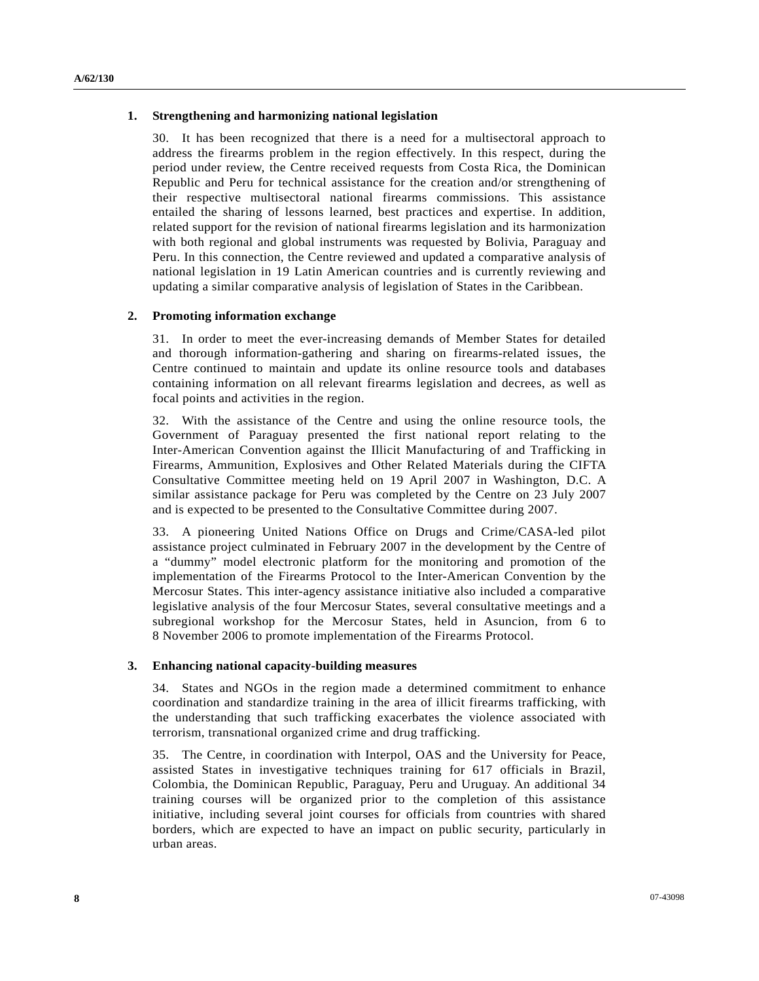### **1. Strengthening and harmonizing national legislation**

30. It has been recognized that there is a need for a multisectoral approach to address the firearms problem in the region effectively. In this respect, during the period under review, the Centre received requests from Costa Rica, the Dominican Republic and Peru for technical assistance for the creation and/or strengthening of their respective multisectoral national firearms commissions. This assistance entailed the sharing of lessons learned, best practices and expertise. In addition, related support for the revision of national firearms legislation and its harmonization with both regional and global instruments was requested by Bolivia, Paraguay and Peru. In this connection, the Centre reviewed and updated a comparative analysis of national legislation in 19 Latin American countries and is currently reviewing and updating a similar comparative analysis of legislation of States in the Caribbean.

### **2. Promoting information exchange**

31. In order to meet the ever-increasing demands of Member States for detailed and thorough information-gathering and sharing on firearms-related issues, the Centre continued to maintain and update its online resource tools and databases containing information on all relevant firearms legislation and decrees, as well as focal points and activities in the region.

32. With the assistance of the Centre and using the online resource tools, the Government of Paraguay presented the first national report relating to the Inter-American Convention against the Illicit Manufacturing of and Trafficking in Firearms, Ammunition, Explosives and Other Related Materials during the CIFTA Consultative Committee meeting held on 19 April 2007 in Washington, D.C. A similar assistance package for Peru was completed by the Centre on 23 July 2007 and is expected to be presented to the Consultative Committee during 2007.

33. A pioneering United Nations Office on Drugs and Crime/CASA-led pilot assistance project culminated in February 2007 in the development by the Centre of a "dummy" model electronic platform for the monitoring and promotion of the implementation of the Firearms Protocol to the Inter-American Convention by the Mercosur States. This inter-agency assistance initiative also included a comparative legislative analysis of the four Mercosur States, several consultative meetings and a subregional workshop for the Mercosur States, held in Asuncion, from 6 to 8 November 2006 to promote implementation of the Firearms Protocol.

#### **3. Enhancing national capacity-building measures**

34. States and NGOs in the region made a determined commitment to enhance coordination and standardize training in the area of illicit firearms trafficking, with the understanding that such trafficking exacerbates the violence associated with terrorism, transnational organized crime and drug trafficking.

35. The Centre, in coordination with Interpol, OAS and the University for Peace, assisted States in investigative techniques training for 617 officials in Brazil, Colombia, the Dominican Republic, Paraguay, Peru and Uruguay. An additional 34 training courses will be organized prior to the completion of this assistance initiative, including several joint courses for officials from countries with shared borders, which are expected to have an impact on public security, particularly in urban areas.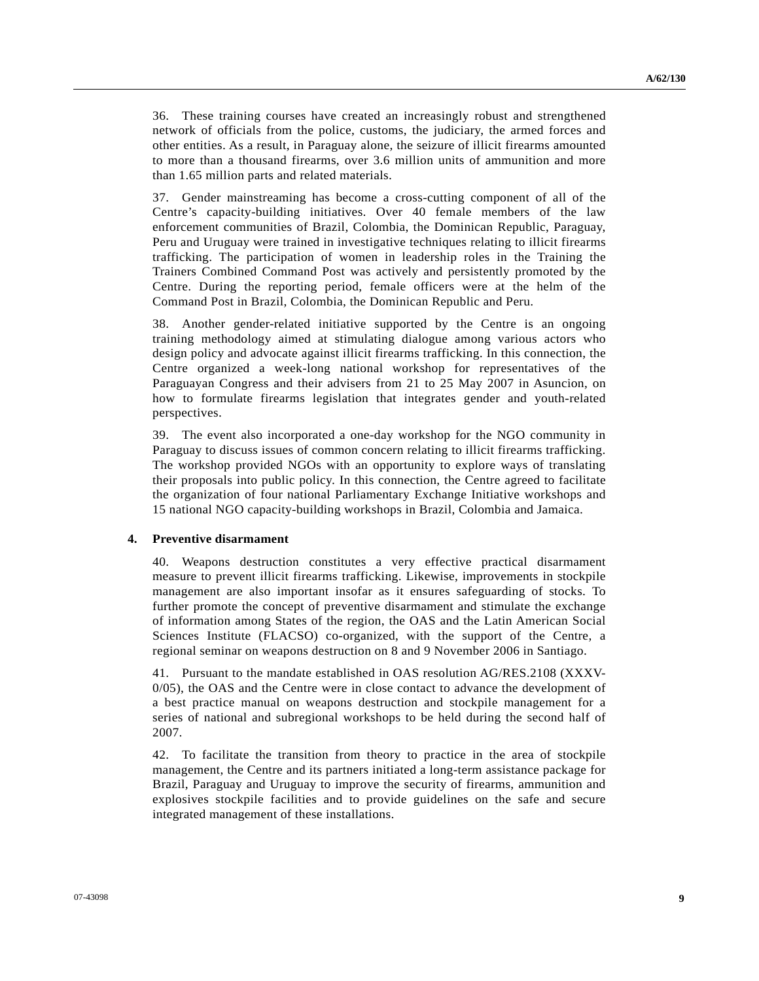36. These training courses have created an increasingly robust and strengthened network of officials from the police, customs, the judiciary, the armed forces and other entities. As a result, in Paraguay alone, the seizure of illicit firearms amounted to more than a thousand firearms, over 3.6 million units of ammunition and more than 1.65 million parts and related materials.

37. Gender mainstreaming has become a cross-cutting component of all of the Centre's capacity-building initiatives. Over 40 female members of the law enforcement communities of Brazil, Colombia, the Dominican Republic, Paraguay, Peru and Uruguay were trained in investigative techniques relating to illicit firearms trafficking. The participation of women in leadership roles in the Training the Trainers Combined Command Post was actively and persistently promoted by the Centre. During the reporting period, female officers were at the helm of the Command Post in Brazil, Colombia, the Dominican Republic and Peru.

38. Another gender-related initiative supported by the Centre is an ongoing training methodology aimed at stimulating dialogue among various actors who design policy and advocate against illicit firearms trafficking. In this connection, the Centre organized a week-long national workshop for representatives of the Paraguayan Congress and their advisers from 21 to 25 May 2007 in Asuncion, on how to formulate firearms legislation that integrates gender and youth-related perspectives.

39. The event also incorporated a one-day workshop for the NGO community in Paraguay to discuss issues of common concern relating to illicit firearms trafficking. The workshop provided NGOs with an opportunity to explore ways of translating their proposals into public policy. In this connection, the Centre agreed to facilitate the organization of four national Parliamentary Exchange Initiative workshops and 15 national NGO capacity-building workshops in Brazil, Colombia and Jamaica.

#### **4. Preventive disarmament**

40. Weapons destruction constitutes a very effective practical disarmament measure to prevent illicit firearms trafficking. Likewise, improvements in stockpile management are also important insofar as it ensures safeguarding of stocks. To further promote the concept of preventive disarmament and stimulate the exchange of information among States of the region, the OAS and the Latin American Social Sciences Institute (FLACSO) co-organized, with the support of the Centre, a regional seminar on weapons destruction on 8 and 9 November 2006 in Santiago.

41. Pursuant to the mandate established in OAS resolution AG/RES.2108 (XXXV-0/05), the OAS and the Centre were in close contact to advance the development of a best practice manual on weapons destruction and stockpile management for a series of national and subregional workshops to be held during the second half of 2007.

42. To facilitate the transition from theory to practice in the area of stockpile management, the Centre and its partners initiated a long-term assistance package for Brazil, Paraguay and Uruguay to improve the security of firearms, ammunition and explosives stockpile facilities and to provide guidelines on the safe and secure integrated management of these installations.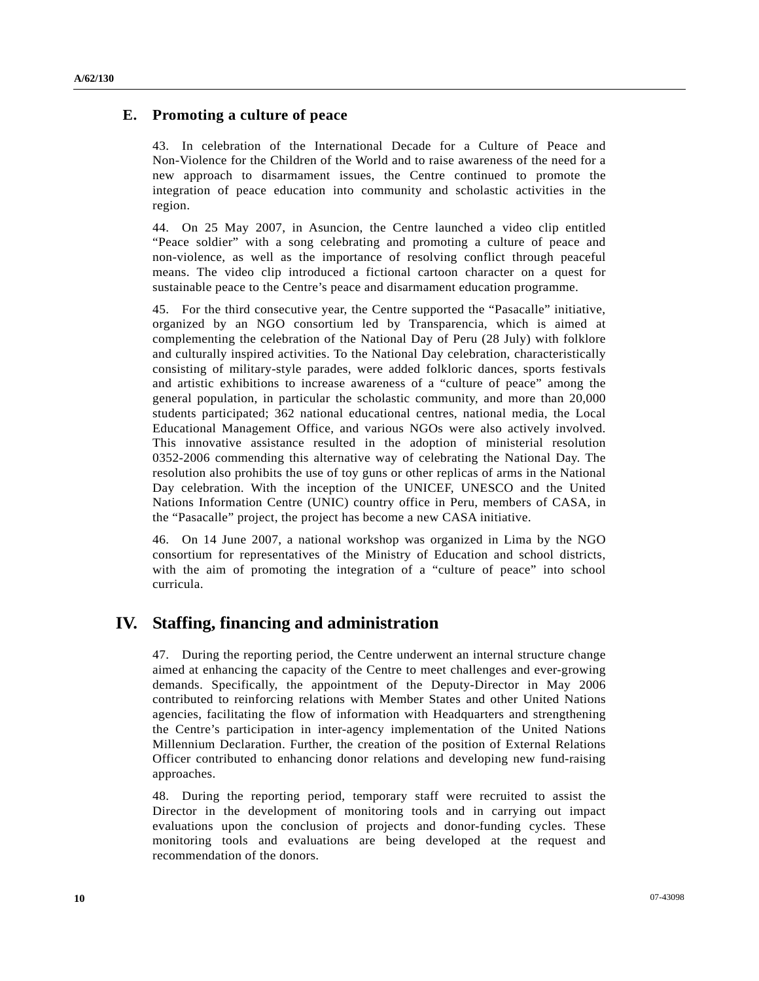## **E. Promoting a culture of peace**

43. In celebration of the International Decade for a Culture of Peace and Non-Violence for the Children of the World and to raise awareness of the need for a new approach to disarmament issues, the Centre continued to promote the integration of peace education into community and scholastic activities in the region.

44. On 25 May 2007, in Asuncion, the Centre launched a video clip entitled "Peace soldier" with a song celebrating and promoting a culture of peace and non-violence, as well as the importance of resolving conflict through peaceful means. The video clip introduced a fictional cartoon character on a quest for sustainable peace to the Centre's peace and disarmament education programme.

45. For the third consecutive year, the Centre supported the "Pasacalle" initiative, organized by an NGO consortium led by Transparencia, which is aimed at complementing the celebration of the National Day of Peru (28 July) with folklore and culturally inspired activities. To the National Day celebration, characteristically consisting of military-style parades, were added folkloric dances, sports festivals and artistic exhibitions to increase awareness of a "culture of peace" among the general population, in particular the scholastic community, and more than 20,000 students participated; 362 national educational centres, national media, the Local Educational Management Office, and various NGOs were also actively involved. This innovative assistance resulted in the adoption of ministerial resolution 0352-2006 commending this alternative way of celebrating the National Day. The resolution also prohibits the use of toy guns or other replicas of arms in the National Day celebration. With the inception of the UNICEF, UNESCO and the United Nations Information Centre (UNIC) country office in Peru, members of CASA, in the "Pasacalle" project, the project has become a new CASA initiative.

46. On 14 June 2007, a national workshop was organized in Lima by the NGO consortium for representatives of the Ministry of Education and school districts, with the aim of promoting the integration of a "culture of peace" into school curricula.

# **IV. Staffing, financing and administration**

47. During the reporting period, the Centre underwent an internal structure change aimed at enhancing the capacity of the Centre to meet challenges and ever-growing demands. Specifically, the appointment of the Deputy-Director in May 2006 contributed to reinforcing relations with Member States and other United Nations agencies, facilitating the flow of information with Headquarters and strengthening the Centre's participation in inter-agency implementation of the United Nations Millennium Declaration. Further, the creation of the position of External Relations Officer contributed to enhancing donor relations and developing new fund-raising approaches.

48. During the reporting period, temporary staff were recruited to assist the Director in the development of monitoring tools and in carrying out impact evaluations upon the conclusion of projects and donor-funding cycles. These monitoring tools and evaluations are being developed at the request and recommendation of the donors.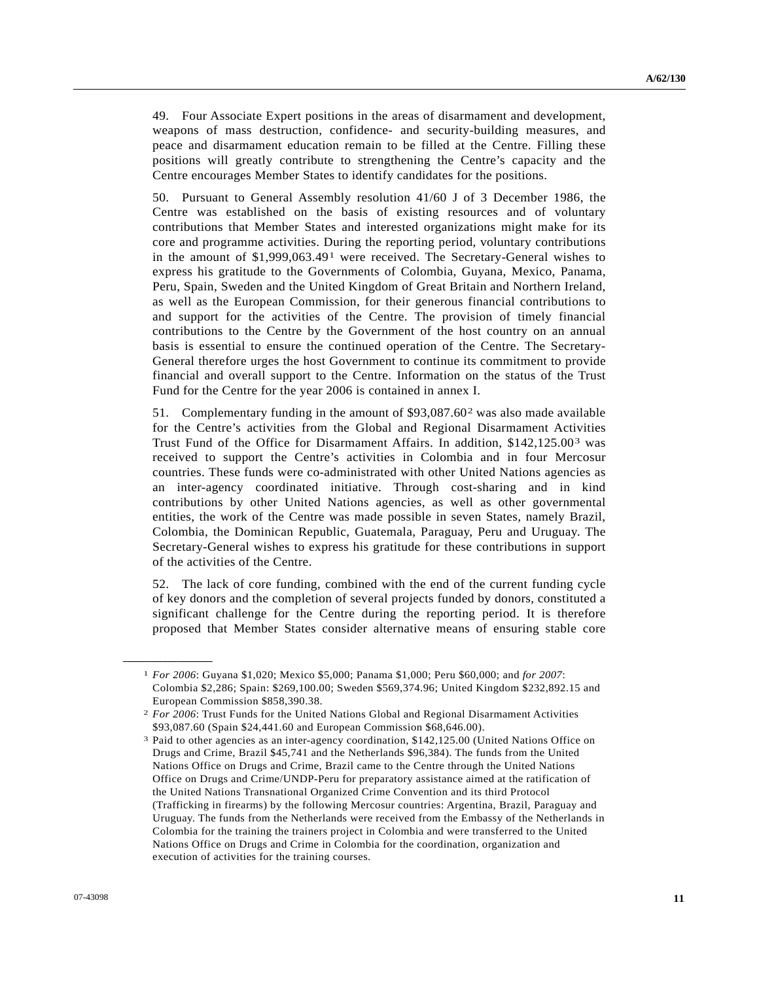49. Four Associate Expert positions in the areas of disarmament and development, weapons of mass destruction, confidence- and security-building measures, and peace and disarmament education remain to be filled at the Centre. Filling these positions will greatly contribute to strengthening the Centre's capacity and the Centre encourages Member States to identify candidates for the positions.

50. Pursuant to General Assembly resolution 41/60 J of 3 December 1986, the Centre was established on the basis of existing resources and of voluntary contributions that Member States and interested organizations might make for its core and programme activities. During the reporting period, voluntary contributions in the amount of \$1,999,063.49[1](#page-10-0) were received. The Secretary-General wishes to express his gratitude to the Governments of Colombia, Guyana, Mexico, Panama, Peru, Spain, Sweden and the United Kingdom of Great Britain and Northern Ireland, as well as the European Commission, for their generous financial contributions to and support for the activities of the Centre. The provision of timely financial contributions to the Centre by the Government of the host country on an annual basis is essential to ensure the continued operation of the Centre. The Secretary-General therefore urges the host Government to continue its commitment to provide financial and overall support to the Centre. Information on the status of the Trust Fund for the Centre for the year 2006 is contained in annex I.

51. Complementary funding in the amount of \$93,087.60[2](#page-10-1) was also made available for the Centre's activities from the Global and Regional Disarmament Activities Trust Fund of the Office for Disarmament Affairs. In addition, \$142,125.00[3](#page-10-2) was received to support the Centre's activities in Colombia and in four Mercosur countries. These funds were co-administrated with other United Nations agencies as an inter-agency coordinated initiative. Through cost-sharing and in kind contributions by other United Nations agencies, as well as other governmental entities, the work of the Centre was made possible in seven States, namely Brazil, Colombia, the Dominican Republic, Guatemala, Paraguay, Peru and Uruguay. The Secretary-General wishes to express his gratitude for these contributions in support of the activities of the Centre.

52. The lack of core funding, combined with the end of the current funding cycle of key donors and the completion of several projects funded by donors, constituted a significant challenge for the Centre during the reporting period. It is therefore proposed that Member States consider alternative means of ensuring stable core

<span id="page-10-1"></span><span id="page-10-0"></span>**\_\_\_\_\_\_\_\_\_\_\_\_\_\_\_\_\_\_** 

<sup>1</sup> *For 2006*: Guyana \$1,020; Mexico \$5,000; Panama \$1,000; Peru \$60,000; and *for 2007*: Colombia \$2,286; Spain: \$269,100.00; Sweden \$569,374.96; United Kingdom \$232,892.15 and European Commission \$858,390.38.

<sup>2</sup> *For 2006*: Trust Funds for the United Nations Global and Regional Disarmament Activities \$93,087.60 (Spain \$24,441.60 and European Commission \$68,646.00).

<span id="page-10-2"></span><sup>3</sup> Paid to other agencies as an inter-agency coordination, \$142,125.00 (United Nations Office on Drugs and Crime, Brazil \$45,741 and the Netherlands \$96,384). The funds from the United Nations Office on Drugs and Crime, Brazil came to the Centre through the United Nations Office on Drugs and Crime/UNDP-Peru for preparatory assistance aimed at the ratification of the United Nations Transnational Organized Crime Convention and its third Protocol (Trafficking in firearms) by the following Mercosur countries: Argentina, Brazil, Paraguay and Uruguay. The funds from the Netherlands were received from the Embassy of the Netherlands in Colombia for the training the trainers project in Colombia and were transferred to the United Nations Office on Drugs and Crime in Colombia for the coordination, organization and execution of activities for the training courses.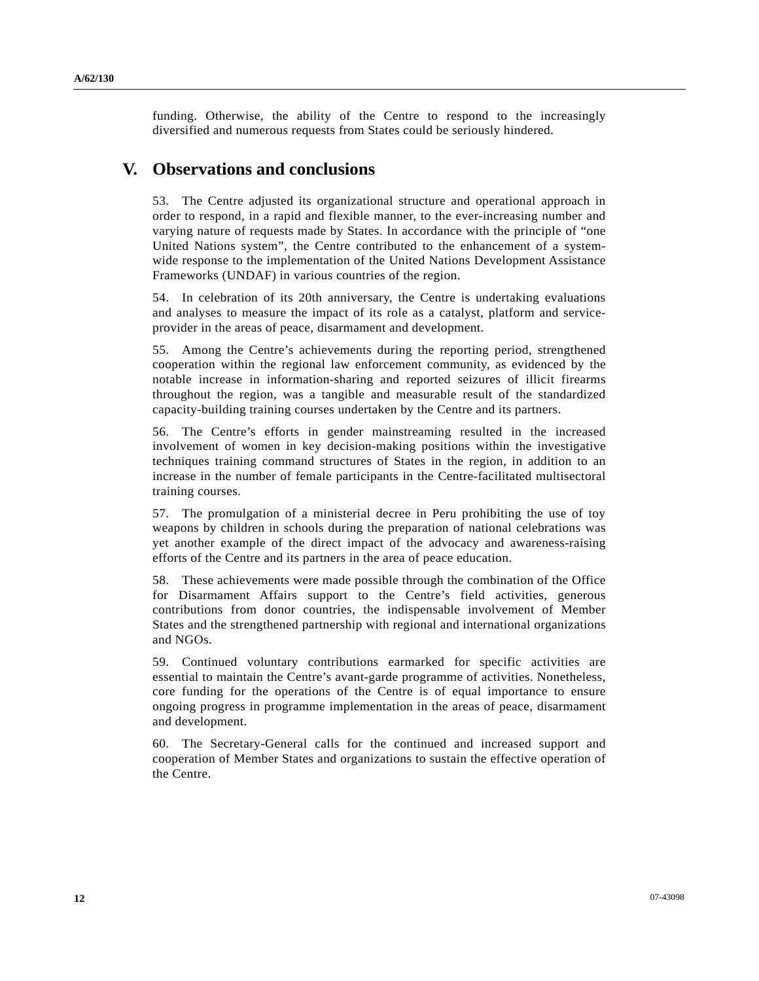funding. Otherwise, the ability of the Centre to respond to the increasingly diversified and numerous requests from States could be seriously hindered.

# **V. Observations and conclusions**

53. The Centre adjusted its organizational structure and operational approach in order to respond, in a rapid and flexible manner, to the ever-increasing number and varying nature of requests made by States. In accordance with the principle of "one United Nations system", the Centre contributed to the enhancement of a systemwide response to the implementation of the United Nations Development Assistance Frameworks (UNDAF) in various countries of the region.

54. In celebration of its 20th anniversary, the Centre is undertaking evaluations and analyses to measure the impact of its role as a catalyst, platform and serviceprovider in the areas of peace, disarmament and development.

55. Among the Centre's achievements during the reporting period, strengthened cooperation within the regional law enforcement community, as evidenced by the notable increase in information-sharing and reported seizures of illicit firearms throughout the region, was a tangible and measurable result of the standardized capacity-building training courses undertaken by the Centre and its partners.

56. The Centre's efforts in gender mainstreaming resulted in the increased involvement of women in key decision-making positions within the investigative techniques training command structures of States in the region, in addition to an increase in the number of female participants in the Centre-facilitated multisectoral training courses.

57. The promulgation of a ministerial decree in Peru prohibiting the use of toy weapons by children in schools during the preparation of national celebrations was yet another example of the direct impact of the advocacy and awareness-raising efforts of the Centre and its partners in the area of peace education.

58. These achievements were made possible through the combination of the Office for Disarmament Affairs support to the Centre's field activities, generous contributions from donor countries, the indispensable involvement of Member States and the strengthened partnership with regional and international organizations and NGOs.

59. Continued voluntary contributions earmarked for specific activities are essential to maintain the Centre's avant-garde programme of activities. Nonetheless, core funding for the operations of the Centre is of equal importance to ensure ongoing progress in programme implementation in the areas of peace, disarmament and development.

60. The Secretary-General calls for the continued and increased support and cooperation of Member States and organizations to sustain the effective operation of the Centre.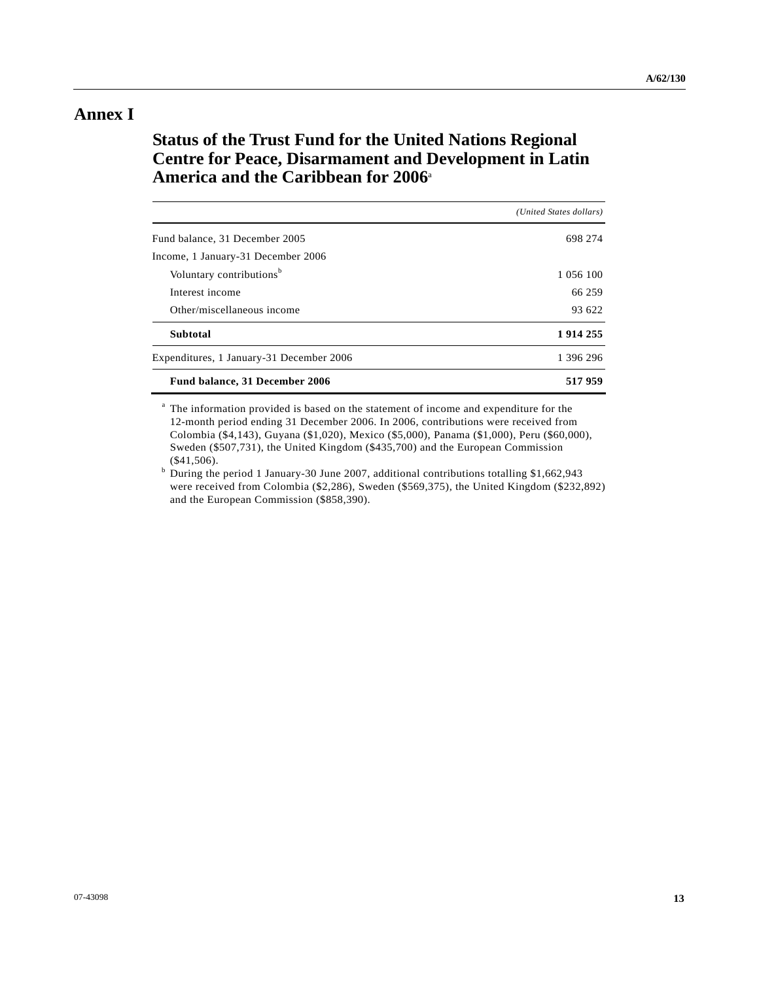# **Annex I**

# **Status of the Trust Fund for the United Nations Regional Centre for Peace, Disarmament and Development in Latin America and the Caribbean for 2006**<sup>a</sup>

|                                          | (United States dollars) |
|------------------------------------------|-------------------------|
| Fund balance, 31 December 2005           | 698 274                 |
| Income, 1 January-31 December 2006       |                         |
| Voluntary contributions <sup>b</sup>     | 1 056 100               |
| Interest income                          | 66 259                  |
| Other/miscellaneous income               | 93 622                  |
| <b>Subtotal</b>                          | 1914255                 |
| Expenditures, 1 January-31 December 2006 | 1 396 296               |
| Fund balance, 31 December 2006           | 517959                  |

<sup>a</sup> The information provided is based on the statement of income and expenditure for the 12-month period ending 31 December 2006. In 2006, contributions were received from Colombia (\$4,143), Guyana (\$1,020), Mexico (\$5,000), Panama (\$1,000), Peru (\$60,000), Sweden (\$507,731), the United Kingdom (\$435,700) and the European Commission (\$41,506).

<sup>b</sup> During the period 1 January-30 June 2007, additional contributions totalling \$1,662,943 were received from Colombia (\$2,286), Sweden (\$569,375), the United Kingdom (\$232,892) and the European Commission (\$858,390).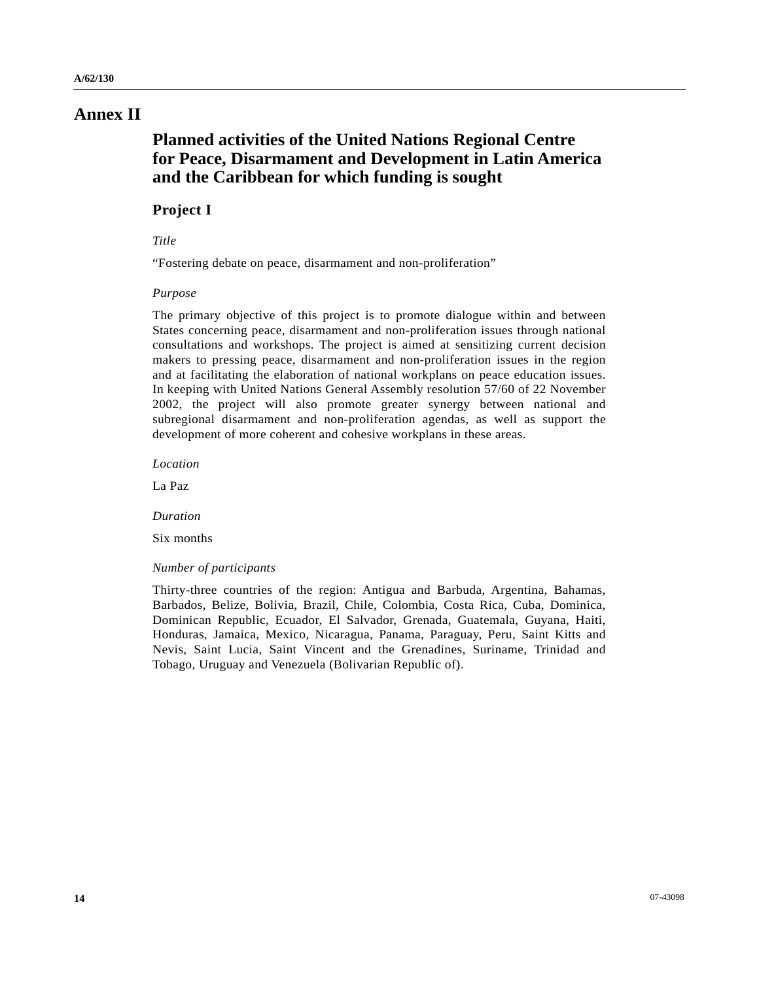# **Annex II**

# **Planned activities of the United Nations Regional Centre for Peace, Disarmament and Development in Latin America and the Caribbean for which funding is sought**

### **Project I**

### *Title*

"Fostering debate on peace, disarmament and non-proliferation"

### *Purpose*

The primary objective of this project is to promote dialogue within and between States concerning peace, disarmament and non-proliferation issues through national consultations and workshops. The project is aimed at sensitizing current decision makers to pressing peace, disarmament and non-proliferation issues in the region and at facilitating the elaboration of national workplans on peace education issues. In keeping with United Nations General Assembly resolution 57/60 of 22 November 2002, the project will also promote greater synergy between national and subregional disarmament and non-proliferation agendas, as well as support the development of more coherent and cohesive workplans in these areas.

 *Location* 

La Paz

 *Duration* 

Six months

### *Number of participants*

Thirty-three countries of the region: Antigua and Barbuda, Argentina, Bahamas, Barbados, Belize, Bolivia, Brazil, Chile, Colombia, Costa Rica, Cuba, Dominica, Dominican Republic, Ecuador, El Salvador, Grenada, Guatemala, Guyana, Haiti, Honduras, Jamaica, Mexico, Nicaragua, Panama, Paraguay, Peru, Saint Kitts and Nevis, Saint Lucia, Saint Vincent and the Grenadines, Suriname, Trinidad and Tobago, Uruguay and Venezuela (Bolivarian Republic of).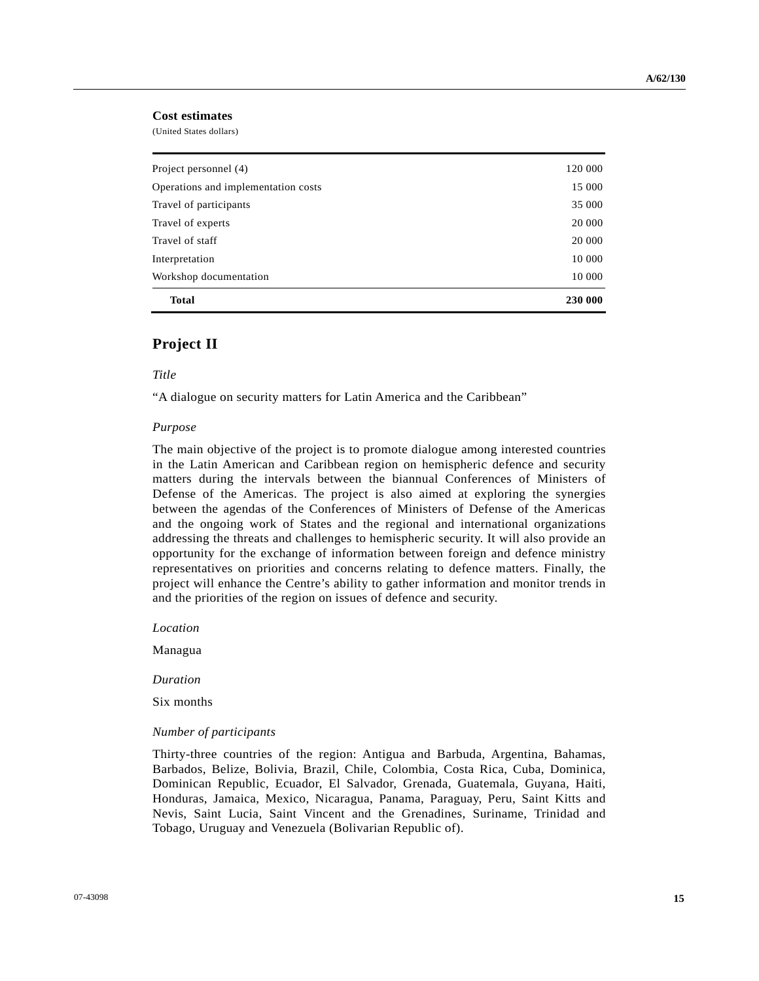### **Cost estimates**

(United States dollars)

| <b>Total</b>                        | 230 000 |
|-------------------------------------|---------|
| Workshop documentation              | 10 000  |
| Interpretation                      | 10 000  |
| Travel of staff                     | 20 000  |
| Travel of experts                   | 20 000  |
| Travel of participants              | 35 000  |
| Operations and implementation costs | 15 000  |
| Project personnel (4)               | 120 000 |
|                                     |         |

### **Project II**

 *Title* 

"A dialogue on security matters for Latin America and the Caribbean"

#### *Purpose*

The main objective of the project is to promote dialogue among interested countries in the Latin American and Caribbean region on hemispheric defence and security matters during the intervals between the biannual Conferences of Ministers of Defense of the Americas. The project is also aimed at exploring the synergies between the agendas of the Conferences of Ministers of Defense of the Americas and the ongoing work of States and the regional and international organizations addressing the threats and challenges to hemispheric security. It will also provide an opportunity for the exchange of information between foreign and defence ministry representatives on priorities and concerns relating to defence matters. Finally, the project will enhance the Centre's ability to gather information and monitor trends in and the priorities of the region on issues of defence and security.

 *Location* 

Managua

 *Duration* 

Six months

#### *Number of participants*

Thirty-three countries of the region: Antigua and Barbuda, Argentina, Bahamas, Barbados, Belize, Bolivia, Brazil, Chile, Colombia, Costa Rica, Cuba, Dominica, Dominican Republic, Ecuador, El Salvador, Grenada, Guatemala, Guyana, Haiti, Honduras, Jamaica, Mexico, Nicaragua, Panama, Paraguay, Peru, Saint Kitts and Nevis, Saint Lucia, Saint Vincent and the Grenadines, Suriname, Trinidad and Tobago, Uruguay and Venezuela (Bolivarian Republic of).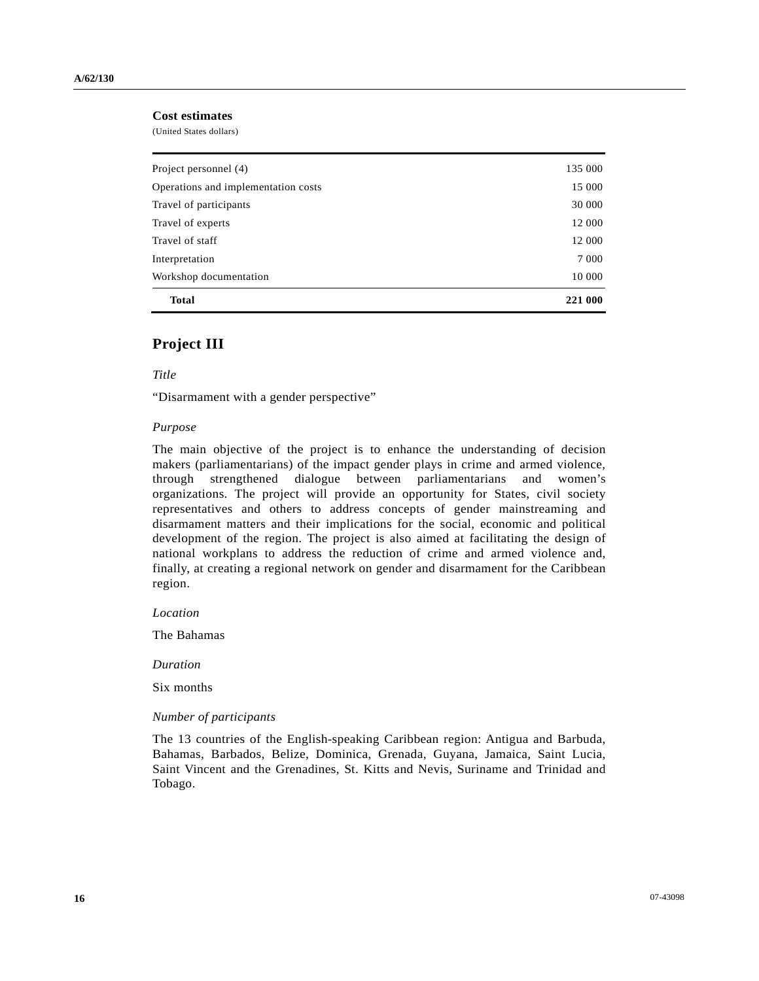### **Cost estimates**

(United States dollars)

| <b>Total</b>                        | 221 000 |
|-------------------------------------|---------|
| Workshop documentation              | 10 000  |
| Interpretation                      | 7 0 0 0 |
| Travel of staff                     | 12 000  |
| Travel of experts                   | 12 000  |
| Travel of participants              | 30 000  |
| Operations and implementation costs | 15 000  |
| Project personnel (4)               | 135 000 |
|                                     |         |

### **Project III**

### *Title*

"Disarmament with a gender perspective"

#### *Purpose*

The main objective of the project is to enhance the understanding of decision makers (parliamentarians) of the impact gender plays in crime and armed violence, through strengthened dialogue between parliamentarians and women's organizations. The project will provide an opportunity for States, civil society representatives and others to address concepts of gender mainstreaming and disarmament matters and their implications for the social, economic and political development of the region. The project is also aimed at facilitating the design of national workplans to address the reduction of crime and armed violence and, finally, at creating a regional network on gender and disarmament for the Caribbean region.

 *Location* 

The Bahamas

 *Duration* 

Six months

#### *Number of participants*

The 13 countries of the English-speaking Caribbean region: Antigua and Barbuda, Bahamas, Barbados, Belize, Dominica, Grenada, Guyana, Jamaica, Saint Lucia, Saint Vincent and the Grenadines, St. Kitts and Nevis, Suriname and Trinidad and Tobago.